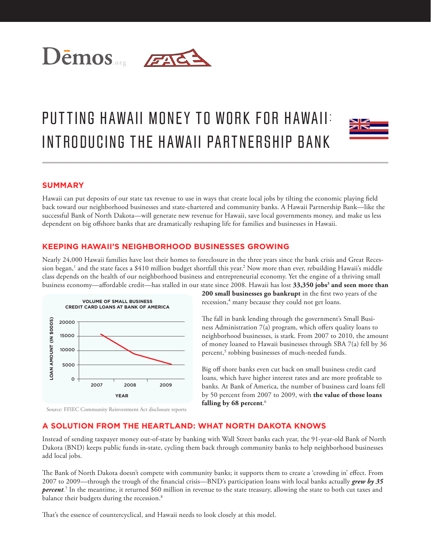

# PUTTING HAWAII MONEY TO WORK FOR HAWAII: INTRODUCING THE HAWAII PARTNERSHIP BANK



## **SUMMARY**

Hawaii can put deposits of our state tax revenue to use in ways that create local jobs by tilting the economic playing field back toward our neighborhood businesses and state-chartered and community banks. A Hawaii Partnership Bank—like the successful Bank of North Dakota—will generate new revenue for Hawaii, save local governments money, and make us less dependent on big offshore banks that are dramatically reshaping life for families and businesses in Hawaii.

#### **KEEPING HAWAII'S NEIGHBORHOOD BUSINESSES GROWING**

Nearly 24,000 Hawaii families have lost their homes to foreclosure in the three years since the bank crisis and Great Recession began,<sup>1</sup> and the state faces a \$410 million budget shortfall this year.<sup>2</sup> Now more than ever, rebuilding Hawaii's middle class depends on the health of our neighborhood business and entrepreneurial economy. Yet the engine of a thriving small business economy—affordable credit—has stalled in our state since 2008. Hawaii has lost **33,350 jobs<sup>3</sup> and seen more than** 



**200 small businesses go bankrupt** in the first two years of the recession,<sup>4</sup> many because they could not get loans.

The fall in bank lending through the government's Small Business Administration 7(a) program, which offers quality loans to neighborhood businesses, is stark. From 2007 to 2010, the amount of money loaned to Hawaii businesses through SBA 7(a) fell by 36 percent,<sup>5</sup> robbing businesses of much-needed funds.

Big off shore banks even cut back on small business credit card loans, which have higher interest rates and are more profitable to banks. At Bank of America, the number of business card loans fell by 50 percent from 2007 to 2009, with **the value of those loans falling by 68 percent**. 6

#### Source: FFIEC Community Reinvestment Act disclosure reports

# **A SOLUTION FROM THE HEARTLAND: WHAT NORTH DAKOTA KNOWS**

Instead of sending taxpayer money out-of-state by banking with Wall Street banks each year, the 91-year-old Bank of North Dakota (BND) keeps public funds in-state, cycling them back through community banks to help neighborhood businesses add local jobs.

The Bank of North Dakota doesn't compete with community banks; it supports them to create a 'crowding in' effect. From 2007 to 2009—through the trough of the financial crisis—BND's participation loans with local banks actually *grew by 35 percent.* 7 In the meantime, it returned \$60 million in revenue to the state treasury, allowing the state to both cut taxes and balance their budgets during the recession.<sup>8</sup>

That's the essence of countercyclical, and Hawaii needs to look closely at this model.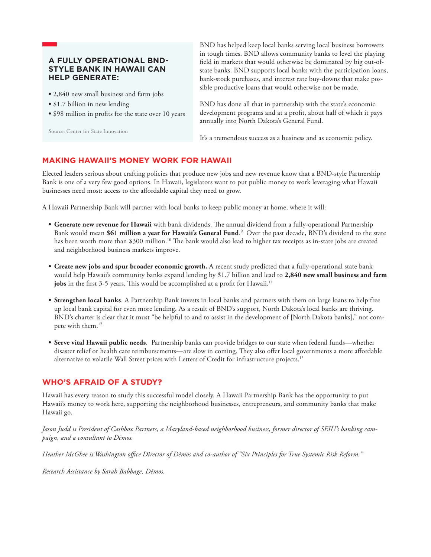### **A FULLY OPERATIONAL BND-STYLE BANK IN HAWAII CAN HELP GENERATE:**

- **•** 2,840 new small business and farm jobs
- **•** \$1.7 billion in new lending
- **•** \$98 million in profits for the state over 10 years

Source: Center for State Innovation

BND has helped keep local banks serving local business borrowers in tough times. BND allows community banks to level the playing field in markets that would otherwise be dominated by big out-ofstate banks. BND supports local banks with the participation loans, bank-stock purchases, and interest rate buy-downs that make possible productive loans that would otherwise not be made.

BND has done all that in partnership with the state's economic development programs and at a profit, about half of which it pays annually into North Dakota's General Fund.

It's a tremendous success as a business and as economic policy.

#### **MAKING HAWAII'S MONEY WORK FOR HAWAII**

Elected leaders serious about crafting policies that produce new jobs and new revenue know that a BND-style Partnership Bank is one of a very few good options. In Hawaii, legislators want to put public money to work leveraging what Hawaii businesses need most: access to the affordable capital they need to grow.

A Hawaii Partnership Bank will partner with local banks to keep public money at home, where it will:

- **• Generate new revenue for Hawaii** with bank dividends. The annual dividend from a fully-operational Partnership Bank would mean **\$61 million a year for Hawaii's General Fund**. 9 Over the past decade, BND's dividend to the state has been worth more than \$300 million.<sup>10</sup> The bank would also lead to higher tax receipts as in-state jobs are created and neighborhood business markets improve.
- **• Create new jobs and spur broader economic growth.** A recent study predicted that a fully-operational state bank would help Hawaii's community banks expand lending by \$1.7 billion and lead to **2,840 new small business and farm jobs** in the first 3-5 years. This would be accomplished at a profit for Hawaii.<sup>11</sup>
- **Strengthen local banks**. A Partnership Bank invests in local banks and partners with them on large loans to help free up local bank capital for even more lending. As a result of BND's support, North Dakota's local banks are thriving. BND's charter is clear that it must "be helpful to and to assist in the development of [North Dakota banks]," not compete with them.<sup>12</sup>
- **• Serve vital Hawaii public needs**. Partnership banks can provide bridges to our state when federal funds—whether disaster relief or health care reimbursements—are slow in coming. They also offer local governments a more affordable alternative to volatile Wall Street prices with Letters of Credit for infrastructure projects.<sup>13</sup>

#### **WHO'S AFRAID OF A STUDY?**

Hawaii has every reason to study this successful model closely. A Hawaii Partnership Bank has the opportunity to put Hawaii's money to work here, supporting the neighborhood businesses, entrepreneurs, and community banks that make Hawaii go.

*Jason Judd is President of Cashbox Partners, a Maryland-based neighborhood business, former director of SEIU's banking campaign, and a consultant to Dēmos.*

*Heather McGhee is Washington office Director of Dēmos and co-author of "Six Principles for True Systemic Risk Reform."*

*Research Assistance by Sarah Babbage, Dēmos.*